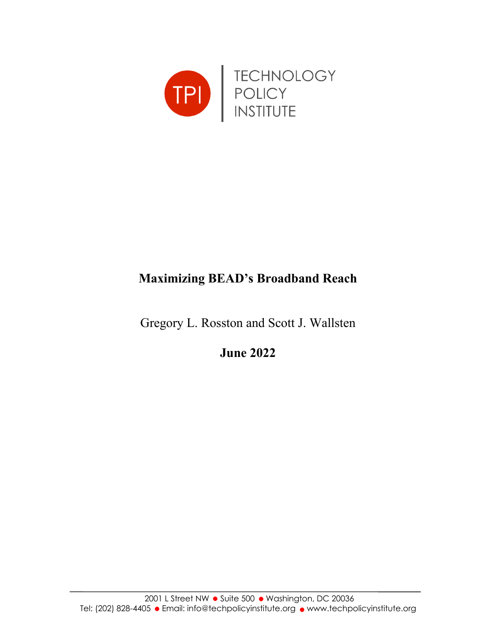

# **Maximizing BEAD's Broadband Reach**

Gregory L. Rosston and Scott J. Wallsten

**June 2022**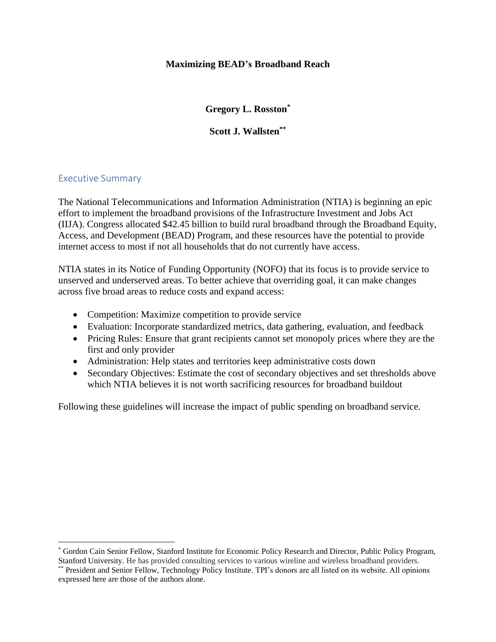#### **Maximizing BEAD's Broadband Reach**

**Gregory L. Rosston\***

**Scott J. Wallsten\*\***

#### Executive Summary

The National Telecommunications and Information Administration (NTIA) is beginning an epic effort to implement the broadband provisions of the Infrastructure Investment and Jobs Act (IIJA). Congress allocated \$42.45 billion to build rural broadband through the Broadband Equity, Access, and Development (BEAD) Program, and these resources have the potential to provide internet access to most if not all households that do not currently have access.

NTIA states in its Notice of Funding Opportunity (NOFO) that its focus is to provide service to unserved and underserved areas. To better achieve that overriding goal, it can make changes across five broad areas to reduce costs and expand access:

- Competition: Maximize competition to provide service
- Evaluation: Incorporate standardized metrics, data gathering, evaluation, and feedback
- Pricing Rules: Ensure that grant recipients cannot set monopoly prices where they are the first and only provider
- Administration: Help states and territories keep administrative costs down
- Secondary Objectives: Estimate the cost of secondary objectives and set thresholds above which NTIA believes it is not worth sacrificing resources for broadband buildout

Following these guidelines will increase the impact of public spending on broadband service.

<sup>\*</sup> Gordon Cain Senior Fellow, Stanford Institute for Economic Policy Research and Director, Public Policy Program, Stanford University. He has provided consulting services to various wireline and wireless broadband providers.

<sup>\*\*</sup> President and Senior Fellow, Technology Policy Institute. TPI's donors are all listed on its website. All opinions expressed here are those of the authors alone.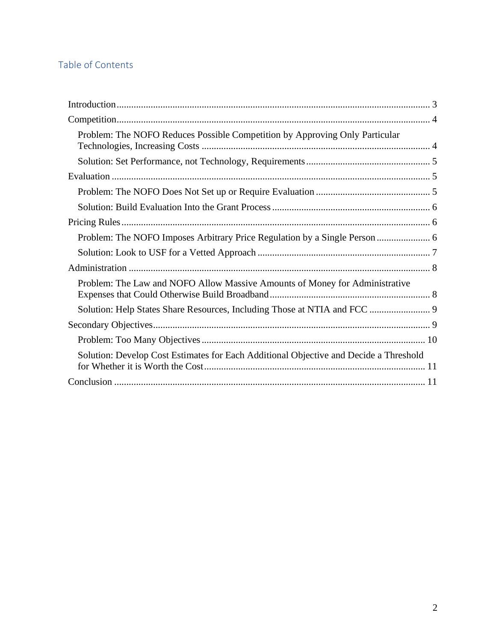# Table of Contents

| Problem: The NOFO Reduces Possible Competition by Approving Only Particular           |  |
|---------------------------------------------------------------------------------------|--|
|                                                                                       |  |
|                                                                                       |  |
|                                                                                       |  |
|                                                                                       |  |
|                                                                                       |  |
| Problem: The NOFO Imposes Arbitrary Price Regulation by a Single Person  6            |  |
|                                                                                       |  |
|                                                                                       |  |
| Problem: The Law and NOFO Allow Massive Amounts of Money for Administrative           |  |
| Solution: Help States Share Resources, Including Those at NTIA and FCC  9             |  |
|                                                                                       |  |
|                                                                                       |  |
| Solution: Develop Cost Estimates for Each Additional Objective and Decide a Threshold |  |
|                                                                                       |  |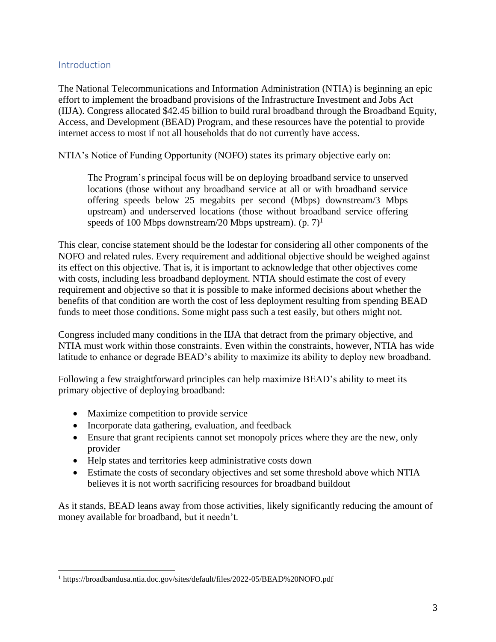# <span id="page-3-0"></span>Introduction

The National Telecommunications and Information Administration (NTIA) is beginning an epic effort to implement the broadband provisions of the Infrastructure Investment and Jobs Act (IIJA). Congress allocated \$42.45 billion to build rural broadband through the Broadband Equity, Access, and Development (BEAD) Program, and these resources have the potential to provide internet access to most if not all households that do not currently have access.

NTIA's Notice of Funding Opportunity (NOFO) states its primary objective early on:

The Program's principal focus will be on deploying broadband service to unserved locations (those without any broadband service at all or with broadband service offering speeds below 25 megabits per second (Mbps) downstream/3 Mbps upstream) and underserved locations (those without broadband service offering speeds of 100 Mbps downstream/20 Mbps upstream).  $(p, 7)^1$ 

This clear, concise statement should be the lodestar for considering all other components of the NOFO and related rules. Every requirement and additional objective should be weighed against its effect on this objective. That is, it is important to acknowledge that other objectives come with costs, including less broadband deployment. NTIA should estimate the cost of every requirement and objective so that it is possible to make informed decisions about whether the benefits of that condition are worth the cost of less deployment resulting from spending BEAD funds to meet those conditions. Some might pass such a test easily, but others might not.

Congress included many conditions in the IIJA that detract from the primary objective, and NTIA must work within those constraints. Even within the constraints, however, NTIA has wide latitude to enhance or degrade BEAD's ability to maximize its ability to deploy new broadband.

Following a few straightforward principles can help maximize BEAD's ability to meet its primary objective of deploying broadband:

- Maximize competition to provide service
- Incorporate data gathering, evaluation, and feedback
- Ensure that grant recipients cannot set monopoly prices where they are the new, only provider
- Help states and territories keep administrative costs down
- Estimate the costs of secondary objectives and set some threshold above which NTIA believes it is not worth sacrificing resources for broadband buildout

As it stands, BEAD leans away from those activities, likely significantly reducing the amount of money available for broadband, but it needn't.

<sup>1</sup> https://broadbandusa.ntia.doc.gov/sites/default/files/2022-05/BEAD%20NOFO.pdf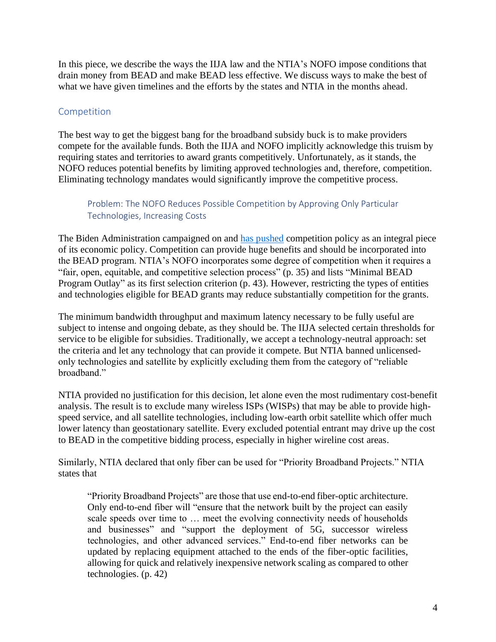In this piece, we describe the ways the IIJA law and the NTIA's NOFO impose conditions that drain money from BEAD and make BEAD less effective. We discuss ways to make the best of what we have given timelines and the efforts by the states and NTIA in the months ahead.

# <span id="page-4-0"></span>Competition

The best way to get the biggest bang for the broadband subsidy buck is to make providers compete for the available funds. Both the IIJA and NOFO implicitly acknowledge this truism by requiring states and territories to award grants competitively. Unfortunately, as it stands, the NOFO reduces potential benefits by limiting approved technologies and, therefore, competition. Eliminating technology mandates would significantly improve the competitive process.

# <span id="page-4-1"></span>Problem: The NOFO Reduces Possible Competition by Approving Only Particular Technologies, Increasing Costs

The Biden Administration campaigned on and [has pushed](https://www.whitehouse.gov/briefing-room/speeches-remarks/2021/07/09/remarks-by-president-biden-at-signing-of-an-executive-order-promoting-competition-in-the-american-economy/) competition policy as an integral piece of its economic policy. Competition can provide huge benefits and should be incorporated into the BEAD program. NTIA's NOFO incorporates some degree of competition when it requires a "fair, open, equitable, and competitive selection process" (p. 35) and lists "Minimal BEAD Program Outlay" as its first selection criterion (p. 43). However, restricting the types of entities and technologies eligible for BEAD grants may reduce substantially competition for the grants.

The minimum bandwidth throughput and maximum latency necessary to be fully useful are subject to intense and ongoing debate, as they should be. The IIJA selected certain thresholds for service to be eligible for subsidies. Traditionally, we accept a technology-neutral approach: set the criteria and let any technology that can provide it compete. But NTIA banned unlicensedonly technologies and satellite by explicitly excluding them from the category of "reliable broadband."

NTIA provided no justification for this decision, let alone even the most rudimentary cost-benefit analysis. The result is to exclude many wireless ISPs (WISPs) that may be able to provide highspeed service, and all satellite technologies, including low-earth orbit satellite which offer much lower latency than geostationary satellite. Every excluded potential entrant may drive up the cost to BEAD in the competitive bidding process, especially in higher wireline cost areas.

Similarly, NTIA declared that only fiber can be used for "Priority Broadband Projects." NTIA states that

"Priority Broadband Projects" are those that use end-to-end fiber-optic architecture. Only end-to-end fiber will "ensure that the network built by the project can easily scale speeds over time to … meet the evolving connectivity needs of households and businesses" and "support the deployment of 5G, successor wireless technologies, and other advanced services." End-to-end fiber networks can be updated by replacing equipment attached to the ends of the fiber-optic facilities, allowing for quick and relatively inexpensive network scaling as compared to other technologies. (p. 42)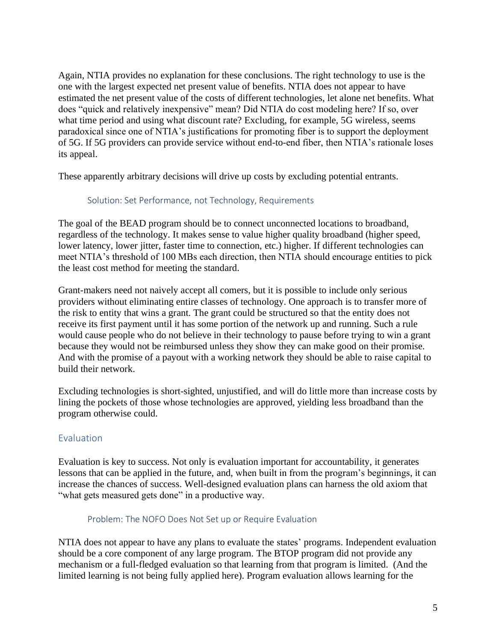Again, NTIA provides no explanation for these conclusions. The right technology to use is the one with the largest expected net present value of benefits. NTIA does not appear to have estimated the net present value of the costs of different technologies, let alone net benefits. What does "quick and relatively inexpensive" mean? Did NTIA do cost modeling here? If so, over what time period and using what discount rate? Excluding, for example, 5G wireless, seems paradoxical since one of NTIA's justifications for promoting fiber is to support the deployment of 5G. If 5G providers can provide service without end-to-end fiber, then NTIA's rationale loses its appeal.

<span id="page-5-0"></span>These apparently arbitrary decisions will drive up costs by excluding potential entrants.

#### Solution: Set Performance, not Technology, Requirements

The goal of the BEAD program should be to connect unconnected locations to broadband, regardless of the technology. It makes sense to value higher quality broadband (higher speed, lower latency, lower jitter, faster time to connection, etc.) higher. If different technologies can meet NTIA's threshold of 100 MBs each direction, then NTIA should encourage entities to pick the least cost method for meeting the standard.

Grant-makers need not naively accept all comers, but it is possible to include only serious providers without eliminating entire classes of technology. One approach is to transfer more of the risk to entity that wins a grant. The grant could be structured so that the entity does not receive its first payment until it has some portion of the network up and running. Such a rule would cause people who do not believe in their technology to pause before trying to win a grant because they would not be reimbursed unless they show they can make good on their promise. And with the promise of a payout with a working network they should be able to raise capital to build their network.

Excluding technologies is short-sighted, unjustified, and will do little more than increase costs by lining the pockets of those whose technologies are approved, yielding less broadband than the program otherwise could.

#### <span id="page-5-1"></span>Evaluation

Evaluation is key to success. Not only is evaluation important for accountability, it generates lessons that can be applied in the future, and, when built in from the program's beginnings, it can increase the chances of success. Well-designed evaluation plans can harness the old axiom that "what gets measured gets done" in a productive way.

#### Problem: The NOFO Does Not Set up or Require Evaluation

<span id="page-5-2"></span>NTIA does not appear to have any plans to evaluate the states' programs. Independent evaluation should be a core component of any large program. The BTOP program did not provide any mechanism or a full-fledged evaluation so that learning from that program is limited. (And the limited learning is not being fully applied here). Program evaluation allows learning for the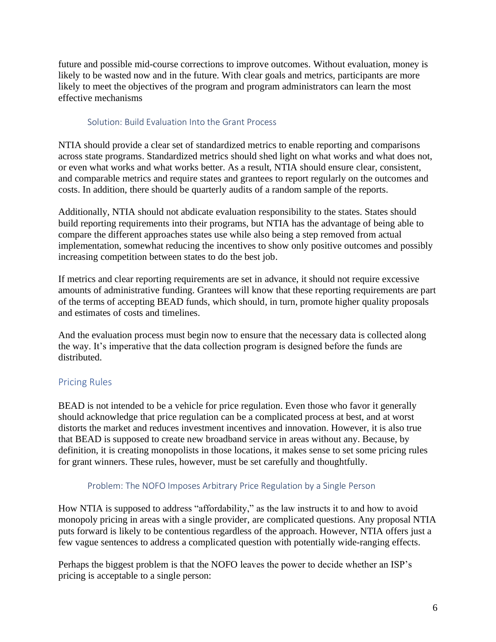future and possible mid-course corrections to improve outcomes. Without evaluation, money is likely to be wasted now and in the future. With clear goals and metrics, participants are more likely to meet the objectives of the program and program administrators can learn the most effective mechanisms

#### Solution: Build Evaluation Into the Grant Process

<span id="page-6-0"></span>NTIA should provide a clear set of standardized metrics to enable reporting and comparisons across state programs. Standardized metrics should shed light on what works and what does not, or even what works and what works better. As a result, NTIA should ensure clear, consistent, and comparable metrics and require states and grantees to report regularly on the outcomes and costs. In addition, there should be quarterly audits of a random sample of the reports.

Additionally, NTIA should not abdicate evaluation responsibility to the states. States should build reporting requirements into their programs, but NTIA has the advantage of being able to compare the different approaches states use while also being a step removed from actual implementation, somewhat reducing the incentives to show only positive outcomes and possibly increasing competition between states to do the best job.

If metrics and clear reporting requirements are set in advance, it should not require excessive amounts of administrative funding. Grantees will know that these reporting requirements are part of the terms of accepting BEAD funds, which should, in turn, promote higher quality proposals and estimates of costs and timelines.

And the evaluation process must begin now to ensure that the necessary data is collected along the way. It's imperative that the data collection program is designed before the funds are distributed.

#### <span id="page-6-1"></span>Pricing Rules

BEAD is not intended to be a vehicle for price regulation. Even those who favor it generally should acknowledge that price regulation can be a complicated process at best, and at worst distorts the market and reduces investment incentives and innovation. However, it is also true that BEAD is supposed to create new broadband service in areas without any. Because, by definition, it is creating monopolists in those locations, it makes sense to set some pricing rules for grant winners. These rules, however, must be set carefully and thoughtfully.

#### Problem: The NOFO Imposes Arbitrary Price Regulation by a Single Person

<span id="page-6-2"></span>How NTIA is supposed to address "affordability," as the law instructs it to and how to avoid monopoly pricing in areas with a single provider, are complicated questions. Any proposal NTIA puts forward is likely to be contentious regardless of the approach. However, NTIA offers just a few vague sentences to address a complicated question with potentially wide-ranging effects.

Perhaps the biggest problem is that the NOFO leaves the power to decide whether an ISP's pricing is acceptable to a single person: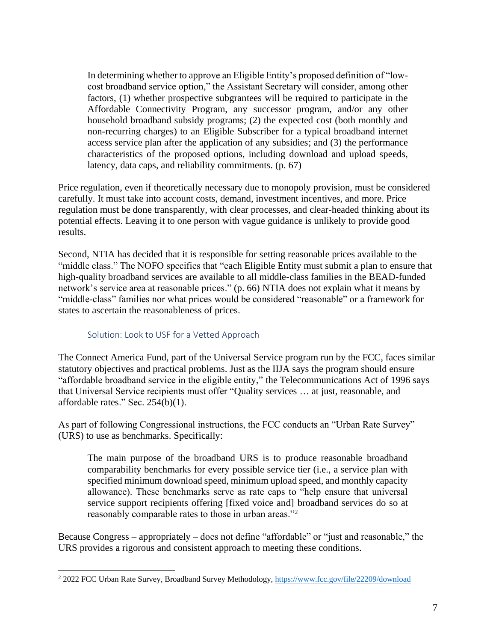In determining whether to approve an Eligible Entity's proposed definition of "lowcost broadband service option," the Assistant Secretary will consider, among other factors, (1) whether prospective subgrantees will be required to participate in the Affordable Connectivity Program, any successor program, and/or any other household broadband subsidy programs; (2) the expected cost (both monthly and non-recurring charges) to an Eligible Subscriber for a typical broadband internet access service plan after the application of any subsidies; and (3) the performance characteristics of the proposed options, including download and upload speeds, latency, data caps, and reliability commitments. (p. 67)

Price regulation, even if theoretically necessary due to monopoly provision, must be considered carefully. It must take into account costs, demand, investment incentives, and more. Price regulation must be done transparently, with clear processes, and clear-headed thinking about its potential effects. Leaving it to one person with vague guidance is unlikely to provide good results.

Second, NTIA has decided that it is responsible for setting reasonable prices available to the "middle class." The NOFO specifies that "each Eligible Entity must submit a plan to ensure that high-quality broadband services are available to all middle-class families in the BEAD-funded network's service area at reasonable prices." (p. 66) NTIA does not explain what it means by "middle-class" families nor what prices would be considered "reasonable" or a framework for states to ascertain the reasonableness of prices.

#### Solution: Look to USF for a Vetted Approach

<span id="page-7-0"></span>The Connect America Fund, part of the Universal Service program run by the FCC, faces similar statutory objectives and practical problems. Just as the IIJA says the program should ensure "affordable broadband service in the eligible entity," the Telecommunications Act of 1996 says that Universal Service recipients must offer "Quality services … at just, reasonable, and affordable rates." Sec. 254(b)(1).

As part of following Congressional instructions, the FCC conducts an "Urban Rate Survey" (URS) to use as benchmarks. Specifically:

The main purpose of the broadband URS is to produce reasonable broadband comparability benchmarks for every possible service tier (i.e., a service plan with specified minimum download speed, minimum upload speed, and monthly capacity allowance). These benchmarks serve as rate caps to "help ensure that universal service support recipients offering [fixed voice and] broadband services do so at reasonably comparable rates to those in urban areas."<sup>2</sup>

Because Congress – appropriately – does not define "affordable" or "just and reasonable," the URS provides a rigorous and consistent approach to meeting these conditions.

<sup>2</sup> 2022 FCC Urban Rate Survey, Broadband Survey Methodology[, https://www.fcc.gov/file/22209/download](https://www.fcc.gov/file/22209/download)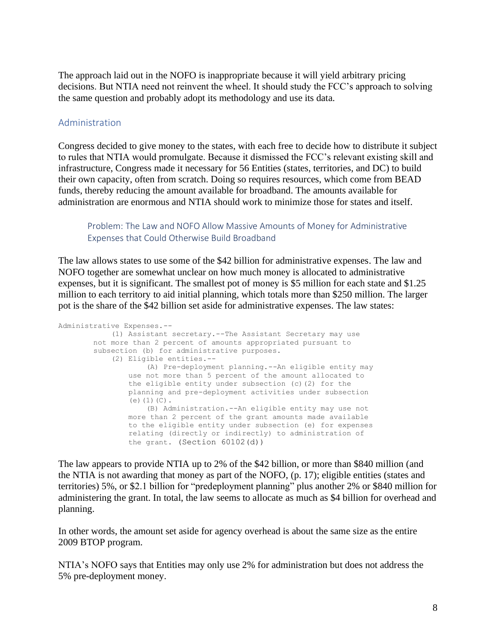The approach laid out in the NOFO is inappropriate because it will yield arbitrary pricing decisions. But NTIA need not reinvent the wheel. It should study the FCC's approach to solving the same question and probably adopt its methodology and use its data.

#### <span id="page-8-0"></span>Administration

Congress decided to give money to the states, with each free to decide how to distribute it subject to rules that NTIA would promulgate. Because it dismissed the FCC's relevant existing skill and infrastructure, Congress made it necessary for 56 Entities (states, territories, and DC) to build their own capacity, often from scratch. Doing so requires resources, which come from BEAD funds, thereby reducing the amount available for broadband. The amounts available for administration are enormous and NTIA should work to minimize those for states and itself.

<span id="page-8-1"></span>Problem: The Law and NOFO Allow Massive Amounts of Money for Administrative Expenses that Could Otherwise Build Broadband

The law allows states to use some of the \$42 billion for administrative expenses. The law and NOFO together are somewhat unclear on how much money is allocated to administrative expenses, but it is significant. The smallest pot of money is \$5 million for each state and \$1.25 million to each territory to aid initial planning, which totals more than \$250 million. The larger pot is the share of the \$42 billion set aside for administrative expenses. The law states:

Administrative Expenses.-- (1) Assistant secretary.--The Assistant Secretary may use not more than 2 percent of amounts appropriated pursuant to subsection (b) for administrative purposes. (2) Eligible entities.-- (A) Pre-deployment planning.--An eligible entity may use not more than 5 percent of the amount allocated to the eligible entity under subsection (c)(2) for the planning and pre-deployment activities under subsection (e) $(1)(C)$ . (B) Administration.--An eligible entity may use not more than 2 percent of the grant amounts made available to the eligible entity under subsection (e) for expenses relating (directly or indirectly) to administration of the grant. (Section 60102(d))

The law appears to provide NTIA up to 2% of the \$42 billion, or more than \$840 million (and the NTIA is not awarding that money as part of the NOFO, (p. 17); eligible entities (states and territories) 5%, or \$2.1 billion for "predeployment planning" plus another 2% or \$840 million for administering the grant. In total, the law seems to allocate as much as \$4 billion for overhead and planning.

In other words, the amount set aside for agency overhead is about the same size as the entire 2009 BTOP program.

NTIA's NOFO says that Entities may only use 2% for administration but does not address the 5% pre-deployment money.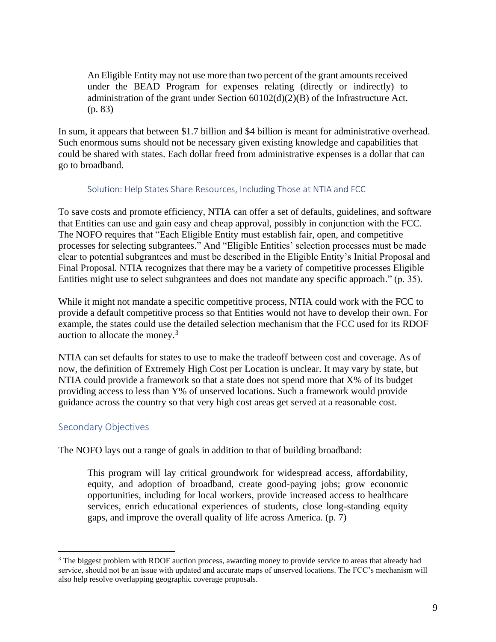An Eligible Entity may not use more than two percent of the grant amounts received under the BEAD Program for expenses relating (directly or indirectly) to administration of the grant under Section 60102(d)(2)(B) of the Infrastructure Act. (p. 83)

In sum, it appears that between \$1.7 billion and \$4 billion is meant for administrative overhead. Such enormous sums should not be necessary given existing knowledge and capabilities that could be shared with states. Each dollar freed from administrative expenses is a dollar that can go to broadband.

#### Solution: Help States Share Resources, Including Those at NTIA and FCC

<span id="page-9-0"></span>To save costs and promote efficiency, NTIA can offer a set of defaults, guidelines, and software that Entities can use and gain easy and cheap approval, possibly in conjunction with the FCC. The NOFO requires that "Each Eligible Entity must establish fair, open, and competitive processes for selecting subgrantees." And "Eligible Entities' selection processes must be made clear to potential subgrantees and must be described in the Eligible Entity's Initial Proposal and Final Proposal. NTIA recognizes that there may be a variety of competitive processes Eligible Entities might use to select subgrantees and does not mandate any specific approach." (p. 35).

While it might not mandate a specific competitive process, NTIA could work with the FCC to provide a default competitive process so that Entities would not have to develop their own. For example, the states could use the detailed selection mechanism that the FCC used for its RDOF auction to allocate the money.<sup>3</sup>

NTIA can set defaults for states to use to make the tradeoff between cost and coverage. As of now, the definition of Extremely High Cost per Location is unclear. It may vary by state, but NTIA could provide a framework so that a state does not spend more that X% of its budget providing access to less than Y% of unserved locations. Such a framework would provide guidance across the country so that very high cost areas get served at a reasonable cost.

# <span id="page-9-1"></span>Secondary Objectives

The NOFO lays out a range of goals in addition to that of building broadband:

This program will lay critical groundwork for widespread access, affordability, equity, and adoption of broadband, create good-paying jobs; grow economic opportunities, including for local workers, provide increased access to healthcare services, enrich educational experiences of students, close long-standing equity gaps, and improve the overall quality of life across America. (p. 7)

<sup>&</sup>lt;sup>3</sup> The biggest problem with RDOF auction process, awarding money to provide service to areas that already had service, should not be an issue with updated and accurate maps of unserved locations. The FCC's mechanism will also help resolve overlapping geographic coverage proposals.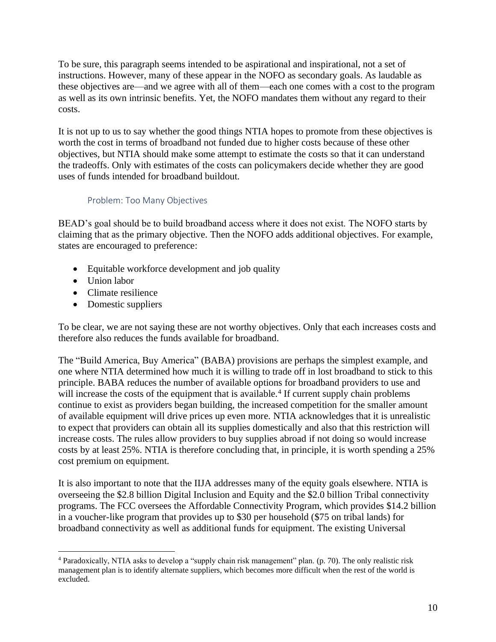To be sure, this paragraph seems intended to be aspirational and inspirational, not a set of instructions. However, many of these appear in the NOFO as secondary goals. As laudable as these objectives are—and we agree with all of them—each one comes with a cost to the program as well as its own intrinsic benefits. Yet, the NOFO mandates them without any regard to their costs.

It is not up to us to say whether the good things NTIA hopes to promote from these objectives is worth the cost in terms of broadband not funded due to higher costs because of these other objectives, but NTIA should make some attempt to estimate the costs so that it can understand the tradeoffs. Only with estimates of the costs can policymakers decide whether they are good uses of funds intended for broadband buildout.

#### Problem: Too Many Objectives

<span id="page-10-0"></span>BEAD's goal should be to build broadband access where it does not exist. The NOFO starts by claiming that as the primary objective. Then the NOFO adds additional objectives. For example, states are encouraged to preference:

- Equitable workforce development and job quality
- Union labor
- Climate resilience
- Domestic suppliers

To be clear, we are not saying these are not worthy objectives. Only that each increases costs and therefore also reduces the funds available for broadband.

The "Build America, Buy America" (BABA) provisions are perhaps the simplest example, and one where NTIA determined how much it is willing to trade off in lost broadband to stick to this principle. BABA reduces the number of available options for broadband providers to use and will increase the costs of the equipment that is available.<sup>4</sup> If current supply chain problems continue to exist as providers began building, the increased competition for the smaller amount of available equipment will drive prices up even more. NTIA acknowledges that it is unrealistic to expect that providers can obtain all its supplies domestically and also that this restriction will increase costs. The rules allow providers to buy supplies abroad if not doing so would increase costs by at least 25%. NTIA is therefore concluding that, in principle, it is worth spending a 25% cost premium on equipment.

It is also important to note that the IIJA addresses many of the equity goals elsewhere. NTIA is overseeing the \$2.8 billion Digital Inclusion and Equity and the \$2.0 billion Tribal connectivity programs. The FCC oversees the Affordable Connectivity Program, which provides \$14.2 billion in a voucher-like program that provides up to \$30 per household (\$75 on tribal lands) for broadband connectivity as well as additional funds for equipment. The existing Universal

<sup>4</sup> Paradoxically, NTIA asks to develop a "supply chain risk management" plan. (p. 70). The only realistic risk management plan is to identify alternate suppliers, which becomes more difficult when the rest of the world is excluded.